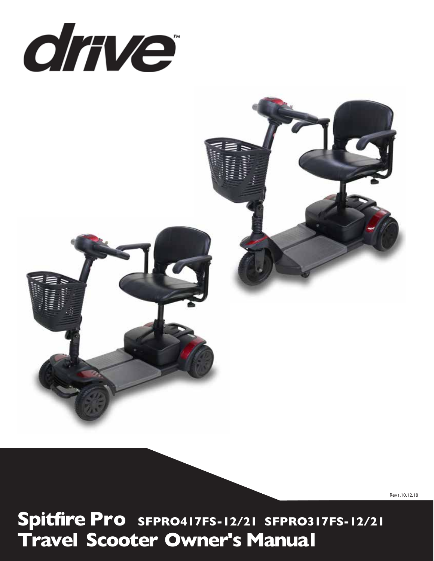



Rev 1.10.12.18

**S Pro SFPRO417FS-12/21 SFPRO317FS-12/21 Travel Scooter Owner's Manual**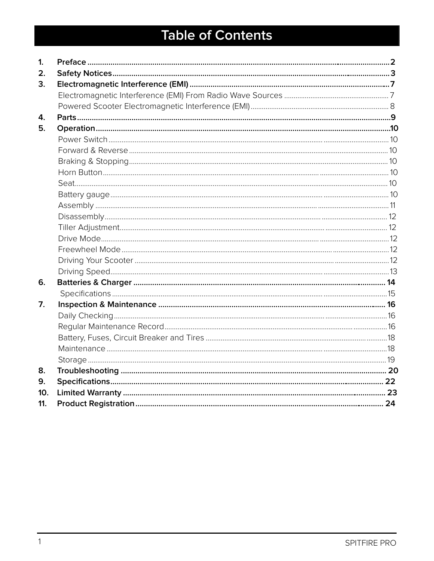# **Table of Contents**

| $\mathbf{1}$ |  |
|--------------|--|
| 2.           |  |
| 3.           |  |
|              |  |
|              |  |
| 4.           |  |
| 5.           |  |
|              |  |
|              |  |
|              |  |
|              |  |
|              |  |
|              |  |
|              |  |
|              |  |
|              |  |
|              |  |
|              |  |
|              |  |
|              |  |
| 6.           |  |
|              |  |
| 7.           |  |
|              |  |
|              |  |
|              |  |
|              |  |
|              |  |
| 8.           |  |
| 9.           |  |
| 10.          |  |
| 11.          |  |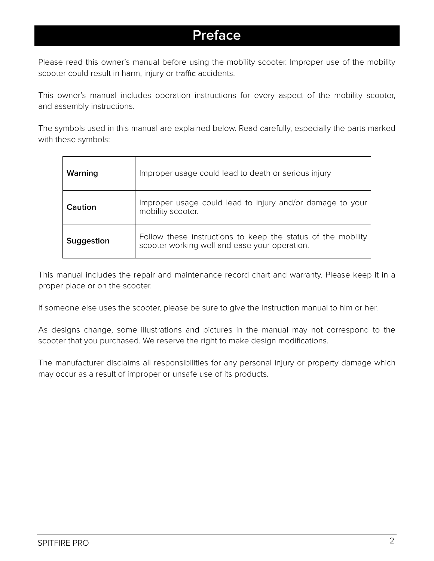# **Preface**

Please read this owner's manual before using the mobility scooter. Improper use of the mobility scooter could result in harm, injury or traffic accidents.

This owner's manual includes operation instructions for every aspect of the mobility scooter, and assembly instructions.

The symbols used in this manual are explained below. Read carefully, especially the parts marked with these symbols:

| Warning    | Improper usage could lead to death or serious injury                                                          |
|------------|---------------------------------------------------------------------------------------------------------------|
| Caution    | Improper usage could lead to injury and/or damage to your<br>mobility scooter.                                |
| Suggestion | Follow these instructions to keep the status of the mobility<br>scooter working well and ease your operation. |

This manual includes the repair and maintenance record chart and warranty. Please keep it in a proper place or on the scooter.

If someone else uses the scooter, please be sure to give the instruction manual to him or her.

As designs change, some illustrations and pictures in the manual may not correspond to the scooter that you purchased. We reserve the right to make design modifications.

The manufacturer disclaims all responsibilities for any personal injury or property damage which may occur as a result of improper or unsafe use of its products.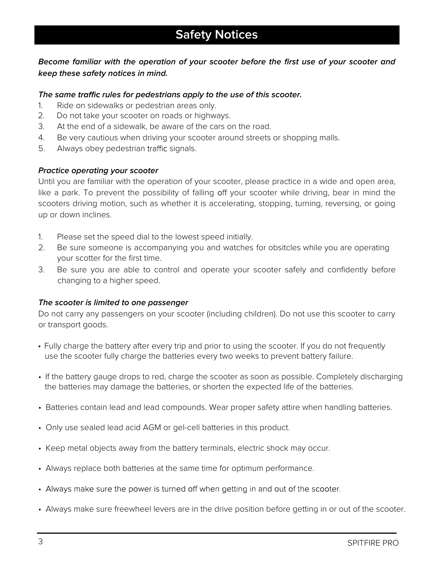# **Become familiar with the operation of your scooter before the first use of your scooter and keep these safety notices in mind.**

#### **The same rules for pedestrians apply to the use of this scooter.**

- 1. Ride on sidewalks or pedestrian areas only.
- 2. Do not take your scooter on roads or highways.
- 3. At the end of a sidewalk, be aware of the cars on the road.
- 4. Be very cautious when driving your scooter around streets or shopping malls.
- 5. Always obey pedestrian traffic signals.

#### **Practice operating your scooter**

Until you are familiar with the operation of your scooter, please practice in a wide and open area, like a park. To prevent the possibility of falling off your scooter while driving, bear in mind the scooters driving motion, such as whether it is accelerating, stopping, turning, reversing, or going up or down inclines.

- 1. Please set the speed dial to the lowest speed initially.
- 2. Be sure someone is accompanying you and watches for obsitcles while you are operating your scotter for the first time.
- 3. Be sure you are able to control and operate your scooter safely and confidently before changing to a higher speed.

#### **The scooter is limited to one passenger**

Do not carry any passengers on your scooter (including children). Do not use this scooter to carry or transport goods.

- Fully charge the battery after every trip and prior to using the scooter. If you do not frequently use the scooter fully charge the batteries every two weeks to prevent battery failure.
- If the battery gauge drops to red, charge the scooter as soon as possible. Completely discharging the batteries may damage the batteries, or shorten the expected life of the batteries.
- Batteries contain lead and lead compounds. Wear proper safety attire when handling batteries.
- Only use sealed lead acid AGM or gel-cell batteries in this product.
- Keep metal objects away from the battery terminals, electric shock may occur.
- Always replace both batteries at the same time for optimum performance.
- Always make sure the power is turned off when getting in and out of the scooter.
- Always make sure freewheel levers are in the drive position before getting in or out of the scooter.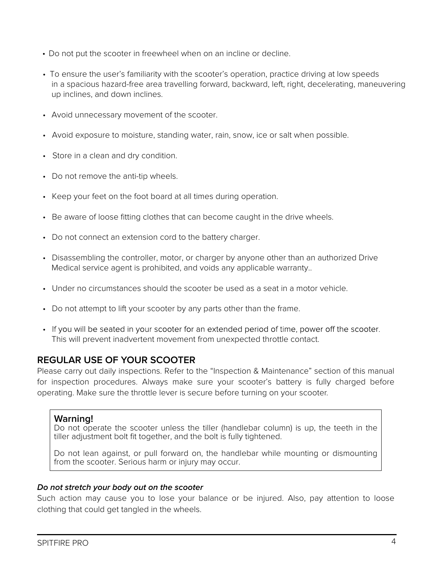- Do not put the scooter in freewheel when on an incline or decline.
- To ensure the user's familiarity with the scooter's operation, practice driving at low speeds in a spacious hazard-free area travelling forward, backward, left, right, decelerating, maneuvering up inclines, and down inclines.
- Avoid unnecessary movement of the scooter.
- Avoid exposure to moisture, standing water, rain, snow, ice or salt when possible.
- Store in a clean and dry condition.
- Do not remove the anti-tip wheels.
- Keep your feet on the foot board at all times during operation.
- Be aware of loose fitting clothes that can become caught in the drive wheels.
- Do not connect an extension cord to the battery charger.
- Disassembling the controller, motor, or charger by anyone other than an authorized Drive Medical service agent is prohibited, and voids any applicable warranty..
- Under no circumstances should the scooter be used as a seat in a motor vehicle.
- Do not attempt to lift your scooter by any parts other than the frame.
- If you will be seated in your scooter for an extended period of time, power off the scooter. This will prevent inadvertent movement from unexpected throttle contact.

# **REGULAR USE OF YOUR SCOOTER**

Please carry out daily inspections. Refer to the "Inspection & Maintenance" section of this manual for inspection procedures. Always make sure your scooter's battery is fully charged before operating. Make sure the throttle lever is secure before turning on your scooter.

## **Warning!**

Do not operate the scooter unless the tiller (handlebar column) is up, the teeth in the tiller adjustment bolt fit together, and the bolt is fully tightened.

Do not lean against, or pull forward on, the handlebar while mounting or dismounting from the scooter. Serious harm or injury may occur.

#### **Do not stretch your body out on the scooter**

Such action may cause you to lose your balance or be injured. Also, pay attention to loose clothing that could get tangled in the wheels.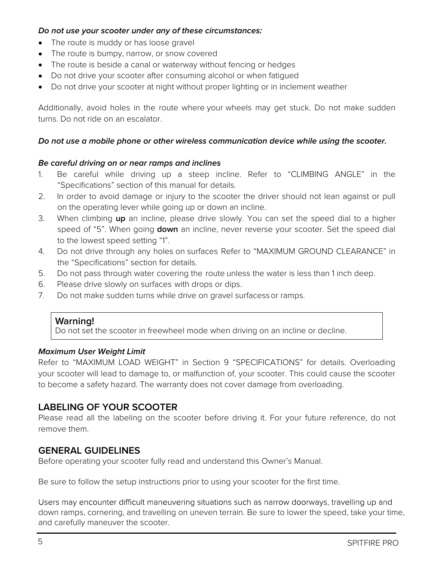#### **Do not use your scooter under any of these circumstances:**

- The route is muddy or has loose gravel
- The route is bumpy, narrow, or snow covered
- The route is beside a canal or waterway without fencing or hedges
- Do not drive your scooter after consuming alcohol or when fatigued
- Do not drive your scooter at night without proper lighting or in inclement weather

Additionally, avoid holes in the route where your wheels may get stuck. Do not make sudden turns. Do not ride on an escalator.

#### **Do not use a mobile phone or other wireless communication device while using the scooter.**

#### **Be careful driving on or near ramps and inclines**

- 1. Be careful while driving up a steep incline. Refer to "CLIMBING ANGLE" in the "Specifications" section of this manual for details.
- 2. In order to avoid damage or injury to the scooter the driver should not lean against or pull on the operating lever while going up or down an incline.
- 3. When climbing **up** an incline, please drive slowly. You can set the speed dial to a higher speed of "5". When going **down** an incline, never reverse your scooter. Set the speed dial to the lowest speed setting "1".
- 4. Do not drive through any holes on surfaces Refer to "MAXIMUM GROUND CLEARANCE" in the "Specifications" section for details.
- 5. Do not pass through water covering the route unless the water is less than 1 inch deep.
- 6. Please drive slowly on surfaces with drops or dips.
- 7. Do not make sudden turns while drive on gravel surfacessor ramps.

#### **Warning!**

Do not set the scooter in freewheel mode when driving on an incline or decline.

#### **Maximum User Weight Limit**

Refer to "MAXIMUM LOAD WEIGHT" in Section 9 "SPECIFICATIONS" for details. Overloading your scooter will lead to damage to, or malfunction of, your scooter. This could cause the scooter to become a safety hazard. The warranty does not cover damage from overloading.

## **LABELING OF YOUR SCOOTER**

Please read all the labeling on the scooter before driving it. For your future reference, do not remove them.

## **GENERAL GUIDELINES**

Before operating your scooter fully read and understand this Owner's Manual.

Be sure to follow the setup instructions prior to using your scooter for the first time.

Users may encounter difficult maneuvering situations such as narrow doorways, travelling up and down ramps, cornering, and travelling on uneven terrain. Be sure to lower the speed, take your time, and carefully maneuver the scooter.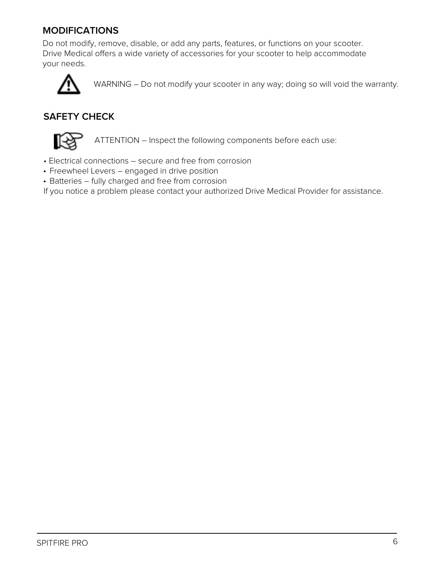# **MODIFICATIONS**

Do not modify, remove, disable, or add any parts, features, or functions on your scooter. Drive Medical offers a wide variety of accessories for your scooter to help accommodate your needs.



WARNING – Do not modify your scooter in any way; doing so will void the warranty.

# **SAFETY CHECK**



ATTENTION – Inspect the following components before each use:

- Electrical connections secure and free from corrosion
- Freewheel Levers engaged in drive position
- Batteries fully charged and free from corrosion

If you notice a problem please contact your authorized Drive Medical Provider for assistance.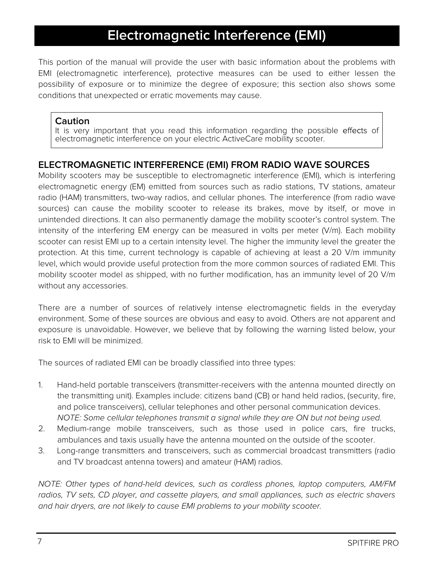# **Electromagnetic Interference (EMI)**

This portion of the manual will provide the user with basic information about the problems with EMI (electromagnetic interference), protective measures can be used to either lessen the possibility of exposure or to minimize the degree of exposure; this section also shows some conditions that unexpected or erratic movements may cause.

## **Caution**

It is very important that you read this information regarding the possible effects of electromagnetic interference on your electric ActiveCare mobility scooter.

# **ELECTROMAGNETIC INTERFERENCE (EMI) FROM RADIO WAVE SOURCES**

Mobility scooters may be susceptible to electromagnetic interference (EMI), which is interfering electromagnetic energy (EM) emitted from sources such as radio stations, TV stations, amateur radio (HAM) transmitters, two-way radios, and cellular phones. The interference (from radio wave sources) can cause the mobility scooter to release its brakes, move by itself, or move in unintended directions. It can also permanently damage the mobility scooter's control system. The intensity of the interfering EM energy can be measured in volts per meter (V/m). Each mobility scooter can resist EMI up to a certain intensity level. The higher the immunity level the greater the protection. At this time, current technology is capable of achieving at least a 20 V/m immunity level, which would provide useful protection from the more common sources of radiated EMI. This mobility scooter model as shipped, with no further modification, has an immunity level of 20 V/m without any accessories.

There are a number of sources of relatively intense electromagnetic fields in the everyday environment. Some of these sources are obvious and easy to avoid. Others are not apparent and exposure is unavoidable. However, we believe that by following the warning listed below, your risk to EMI will be minimized.

The sources of radiated EMI can be broadly classified into three types:

- 1. Hand-held portable transceivers (transmitter-receivers with the antenna mounted directly on the transmitting unit). Examples include: citizens band (CB) or hand held radios, (security, fire, and police transceivers), cellular telephones and other personal communication devices. NOTE: Some cellular telephones transmit a signal while they are ON but not being used.
- 2. Medium-range mobile transceivers, such as those used in police cars, fire trucks, ambulances and taxis usually have the antenna mounted on the outside of the scooter.
- 3. Long-range transmitters and transceivers, such as commercial broadcast transmitters (radio and TV broadcast antenna towers) and amateur (HAM) radios.

NOTE: Other types of hand-held devices, such as cordless phones, laptop computers, AM/FM radios, TV sets, CD player, and cassette players, and small appliances, such as electric shavers and hair dryers, are not likely to cause EMI problems to your mobility scooter.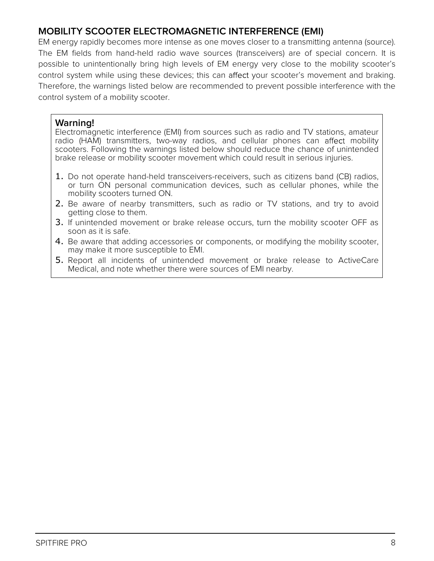# **MOBILITY SCOOTER ELECTROMAGNETIC INTERFERENCE (EMI)**

EM energy rapidly becomes more intense as one moves closer to a transmitting antenna (source). The EM fields from hand-held radio wave sources (transceivers) are of special concern. It is possible to unintentionally bring high levels of EM energy very close to the mobility scooter's control system while using these devices; this can affect your scooter's movement and braking. Therefore, the warnings listed below are recommended to prevent possible interference with the control system of a mobility scooter.

## **Warning!**

Electromagnetic interference (EMI) from sources such as radio and TV stations, amateur radio (HAM) transmitters, two-way radios, and cellular phones can affect mobility scooters. Following the warnings listed below should reduce the chance of unintended brake release or mobility scooter movement which could result in serious injuries.

- 1. Do not operate hand-held transceivers-receivers, such as citizens band (CB) radios, or turn ON personal communication devices, such as cellular phones, while the mobility scooters turned ON.
- 2. Be aware of nearby transmitters, such as radio or TV stations, and try to avoid getting close to them.
- 3. If unintended movement or brake release occurs, turn the mobility scooter OFF as soon as it is safe.
- 4. Be aware that adding accessories or components, or modifying the mobility scooter, may make it more susceptible to EMI.
- 5. Report all incidents of unintended movement or brake release to ActiveCare Medical, and note whether there were sources of EMI nearby.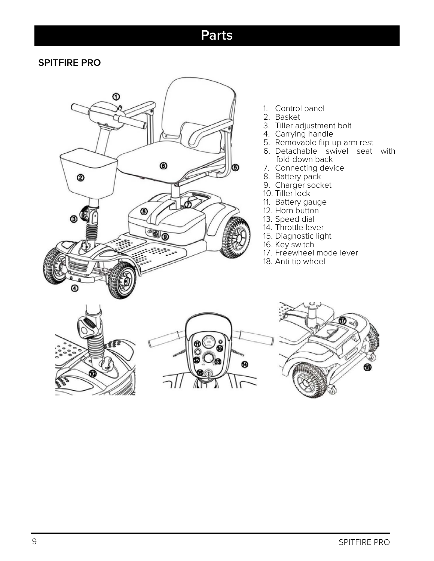# **Parts**

# **SPITFIRE PRO**



- 1. Control panel
- 2. Basket
- 3. Tiller adjustment bolt
- 4. Carrying handle
- 5. Removable flip-up arm rest
- 6. Detachable swivel seat with fold-down back
- 7. Connecting device
- 8. Battery pack
- 9. Charger socket
- 10. Tiller lock
- 11. Battery gauge
- 12. Horn button
- 13. Speed dial
- 14. Throttle lever
- 15. Diagnostic light
- 16. Key switch
- 17. Freewheel mode lever
- 18. Anti-tip wheel





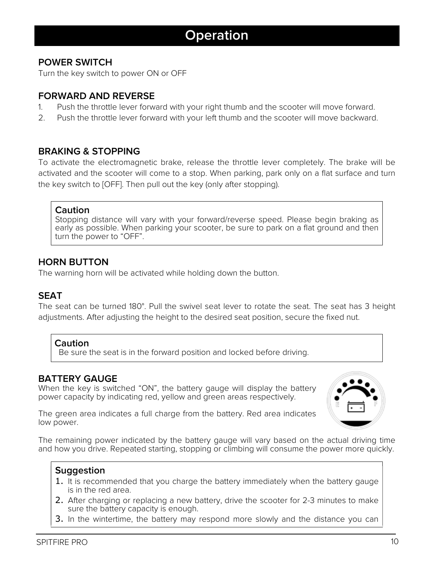# **Operation**

# **POWER SWITCH**

Turn the key switch to power ON or OFF

# **FORWARD AND REVERSE**

- 1. Push the throttle lever forward with your right thumb and the scooter will move forward.
- 2. Push the throttle lever forward with your left thumb and the scooter will move backward.

## **BRAKING & STOPPING**

To activate the electromagnetic brake, release the throttle lever completely. The brake will be activated and the scooter will come to a stop. When parking, park only on a flat surface and turn the key switch to [OFF]. Then pull out the key (only after stopping).

#### **Caution**

Stopping distance will vary with your forward/reverse speed. Please begin braking as early as possible. When parking your scooter, be sure to park on a flat ground and then turn the power to "OFF".

# **HORN BUTTON**

The warning horn will be activated while holding down the button.

## **SEAT**

The seat can be turned 180°. Pull the swivel seat lever to rotate the seat. The seat has 3 height adjustments. After adjusting the height to the desired seat position, secure the fixed nut.

#### **Caution**

Be sure the seat is in the forward position and locked before driving.

## **BATTERY GAUGE**

When the key is switched "ON", the battery gauge will display the battery power capacity by indicating red, yellow and green areas respectively.



The green area indicates a full charge from the battery. Red area indicates low power.

The remaining power indicated by the battery gauge will vary based on the actual driving time and how you drive. Repeated starting, stopping or climbing will consume the power more quickly.

## **Suggestion**

- 1. It is recommended that you charge the battery immediately when the battery gauge is in the red area.
- 2. After charging or replacing a new battery, drive the scooter for 2-3 minutes to make sure the battery capacity is enough.
- 3. In the wintertime, the battery may respond more slowly and the distance you can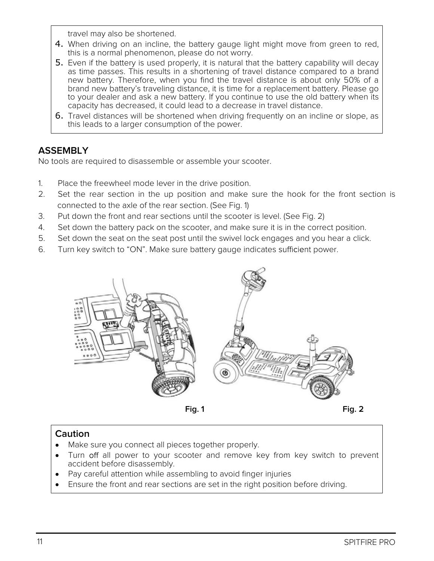travel may also be shortened.

- 4. When driving on an incline, the battery gauge light might move from green to red, this is a normal phenomenon, please do not worry.
- 5. Even if the battery is used properly, it is natural that the battery capability will decay as time passes. This results in a shortening of travel distance compared to a brand new battery. Therefore, when you find the travel distance is about only 50% of a brand new battery's traveling distance, it is time for a replacement battery. Please go to your dealer and ask a new battery. If you continue to use the old battery when its capacity has decreased, it could lead to a decrease in travel distance.
- 6. Travel distances will be shortened when driving frequently on an incline or slope, as this leads to a larger consumption of the power.

# **ASSEMBLY**

No tools are required to disassemble or assemble your scooter.

- 1. Place the freewheel mode lever in the drive position.
- 2. Set the rear section in the up position and make sure the hook for the front section is connected to the axle of the rear section. (See Fig. 1)
- 3. Put down the front and rear sections until the scooter is level. (See Fig. 2)
- 4. Set down the battery pack on the scooter, and make sure it is in the correct position.
- 5. Set down the seat on the seat post until the swivel lock engages and you hear a click.
- 6. Turn key switch to "ON". Make sure battery gauge indicates sufficient power.



# **Caution**

- Make sure you connect all pieces together properly.  $\bullet$
- Turn off all power to your scooter and remove key from key switch to prevent accident before disassembly.
- Pay careful attention while assembling to avoid finger injuries
- Ensure the front and rear sections are set in the right position before driving.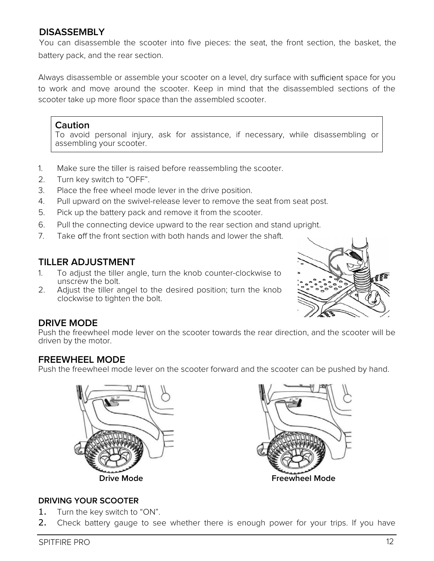# **DISASSEMBLY**

battery pack, and the rear section. You can disassemble the scooter into five pieces: the seat, the front section, the basket, the

Always disassemble or assemble your scooter on a level, dry surface with sufficient space for you to work and move around the scooter. Keep in mind that the disassembled sections of the scooter take up more floor space than the assembled scooter.

# **Caution**

To avoid personal injury, ask for assistance, if necessary, while disassembling or assembling your scooter.

- 1. Make sure the tiller is raised before reassembling the scooter.
- 2. Turn key switch to "OFF".
- 3. Place the free wheel mode lever in the drive position.
- 4. Pull upward on the swivel-release lever to remove the seat from seat post.
- 5. Pick up the battery pack and remove it from the scooter.
- 6. Pull the connecting device upward to the rear section and stand upright.
- 7 Take off the front section with both hands and lower the shaft.

# **TILLER ADJUSTMENT**

- 1. To adjust the tiller angle, turn the knob counter-clockwise to unscrew the bolt.
- 2. Adjust the tiller angel to the desired position; turn the knob clockwise to tighten the bolt.



# **DRIVE MODE**

Push the freewheel mode lever on the scooter towards the rear direction, and the scooter will be driven by the motor.

# **FREEWHEEL MODE**

Push the freewheel mode lever on the scooter forward and the scooter can be pushed by hand.





## **DRIVING YOUR SCOOTER**

- 1. Turn the key switch to "ON".
- 2. Check battery gauge to see whether there is enough power for your trips. If you have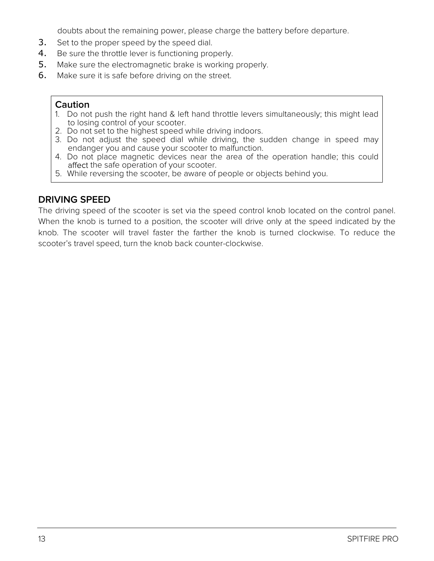doubts about the remaining power, please charge the battery before departure.

- 3. Set to the proper speed by the speed dial.
- 4. Be sure the throttle lever is functioning properly.
- 5. Make sure the electromagnetic brake is working properly.
- 6. Make sure it is safe before driving on the street.

#### **Caution**

- 1. Do not push the right hand & left hand throttle levers simultaneously; this might lead to losing control of your scooter.
- 2. Do not set to the highest speed while driving indoors.
- 3. Do not adjust the speed dial while driving, the sudden change in speed may endanger you and cause your scooter to malfunction.
- 4. Do not place magnetic devices near the area of the operation handle; this could affect the safe operation of your scooter.
- 5. While reversing the scooter, be aware of people or objects behind you.

# **DRIVING SPEED**

The driving speed of the scooter is set via the speed control knob located on the control panel. When the knob is turned to a position, the scooter will drive only at the speed indicated by the knob. The scooter will travel faster the farther the knob is turned clockwise. To reduce the scooter's travel speed, turn the knob back counter-clockwise.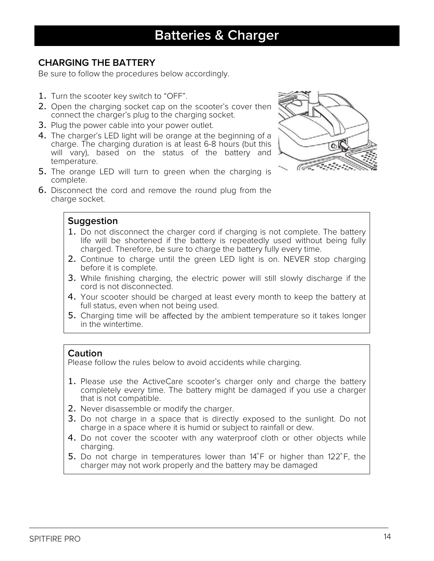# **CHARGING THE BATTERY**

Be sure to follow the procedures below accordingly.

- 1. Turn the scooter key switch to "OFF".
- 2. Open the charging socket cap on the scooter's cover then connect the charger's plug to the charging socket.
- 3. Plug the power cable into your power outlet.
- 4. The charger's LED light will be orange at the beginning of a charge. The charging duration is at least 6-8 hours (but this will vary), based on the status of the battery and temperature.
- 5. The orange LED will turn to green when the charging is complete.



6. Disconnect the cord and remove the round plug from the charge socket.

# **Suggestion**

- 1. Do not disconnect the charger cord if charging is not complete. The battery life will be shortened if the battery is repeatedly used without being fully charged. Therefore, be sure to charge the battery fully every time.
- 2. Continue to charge until the green LED light is on. NEVER stop charging before it is complete.
- 3. While finishing charging, the electric power will still slowly discharge if the cord is not disconnected.
- 4. Your scooter should be charged at least every month to keep the battery at full status, even when not being used.
- 5. Charging time will be affected by the ambient temperature so it takes longer in the wintertime.

## **Caution**

Please follow the rules below to avoid accidents while charging.

- 1. Please use the ActiveCare scooter's charger only and charge the battery completely every time. The battery might be damaged if you use a charger that is not compatible.
- 2. Never disassemble or modify the charger.
- 3. Do not charge in a space that is directly exposed to the sunlight. Do not charge in a space where it is humid or subject to rainfall or dew.
- 4. Do not cover the scooter with any waterproof cloth or other objects while charging.
- 5. Do not charge in temperatures lower than  $14^{\circ}$ F or higher than  $122^{\circ}$ F, the charger may not work properly and the battery may be damaged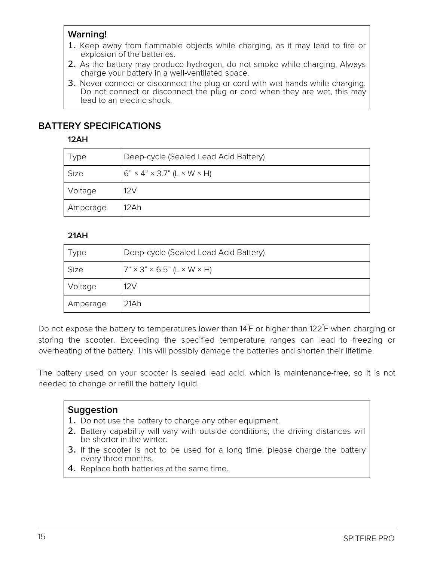# **Warning!**

- 1. Keep away from flammable objects while charging, as it may lead to fire or explosion of the batteries.
- 2. As the battery may produce hydrogen, do not smoke while charging. Always charge your battery in a well-ventilated space.
- 3. Never connect or disconnect the plug or cord with wet hands while charging. Do not connect or disconnect the plug or cord when they are wet, this may lead to an electric shock.

# **BATTERY SPECIFICATIONS**

**12AH**

| Deep-cycle (Sealed Lead Acid Battery)                |
|------------------------------------------------------|
| $6" \times 4" \times 3.7"$ (L $\times$ W $\times$ H) |
| 12V                                                  |
| 12Ah                                                 |
|                                                      |

## **21AH**

| <b>Type</b> | Deep-cycle (Sealed Lead Acid Battery)                |
|-------------|------------------------------------------------------|
| Size        | $7" \times 3" \times 6.5"$ (L $\times$ W $\times$ H) |
| Voltage     | 12V                                                  |
| Amperage    | 21Ah                                                 |

Do not expose the battery to temperatures lower than 14° F or higher than 122° F when charging or storing the scooter. Exceeding the specified temperature ranges can lead to freezing or overheating of the battery. This will possibly damage the batteries and shorten their lifetime.

The battery used on your scooter is sealed lead acid, which is maintenance-free, so it is not needed to change or refill the battery liquid.

## **Suggestion**

- 1. Do not use the battery to charge any other equipment.
- 2. Battery capability will vary with outside conditions; the driving distances will be shorter in the winter.
- **3.** If the scooter is not to be used for a long time, please charge the battery every three months.
- 4. Replace both batteries at the same time.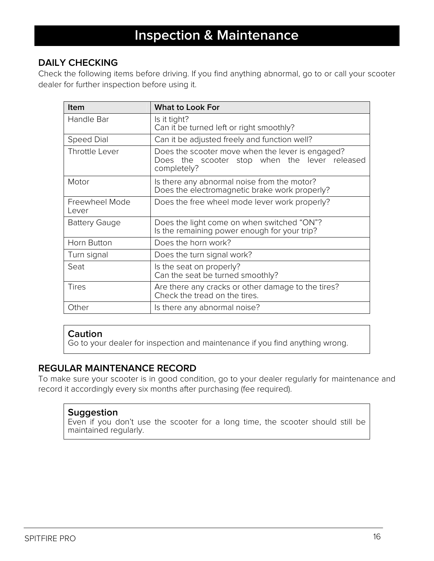# **DAILY CHECKING**

Check the following items before driving. If you find anything abnormal, go to or call your scooter dealer for further inspection before using it.

| <b>Item</b>             | <b>What to Look For</b>                                                                                          |
|-------------------------|------------------------------------------------------------------------------------------------------------------|
| Handle Bar              | Is it tight?<br>Can it be turned left or right smoothly?                                                         |
| <b>Speed Dial</b>       | Can it be adjusted freely and function well?                                                                     |
| Throttle Lever          | Does the scooter move when the lever is engaged?<br>Does the scooter stop when the lever released<br>completely? |
| Motor                   | Is there any abnormal noise from the motor?<br>Does the electromagnetic brake work properly?                     |
| Freewheel Mode<br>Lever | Does the free wheel mode lever work properly?                                                                    |
| <b>Battery Gauge</b>    | Does the light come on when switched "ON"?<br>Is the remaining power enough for your trip?                       |
| Horn Button             | Does the horn work?                                                                                              |
| Turn signal             | Does the turn signal work?                                                                                       |
| Seat                    | Is the seat on properly?<br>Can the seat be turned smoothly?                                                     |
| Tires                   | Are there any cracks or other damage to the tires?<br>Check the tread on the tires.                              |
| Other                   | Is there any abnormal noise?                                                                                     |

# **Caution**

Go to your dealer for inspection and maintenance if you find anything wrong.

# **REGULAR MAINTENANCE RECORD**

To make sure your scooter is in good condition, go to your dealer regularly for maintenance and record it accordingly every six months after purchasing (fee required).

## **Suggestion**

Even if you don't use the scooter for a long time, the scooter should still be maintained regularly.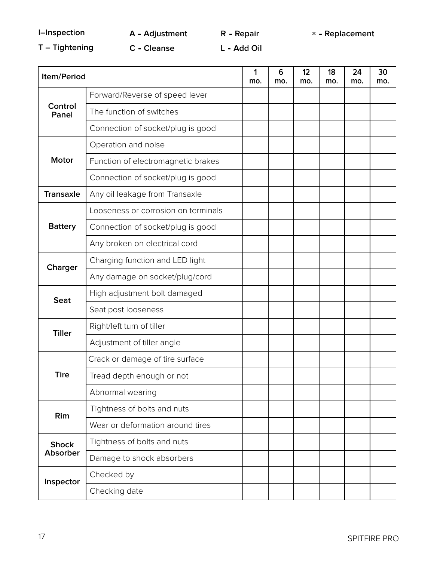**R**

**I–Inspection A Adjustment Repair × Replacement**

**T – Tightening C Cleanse L**

**Add Oil**

| Item/Period      |                                     | 1<br>mo. | 6<br>mo. | 12<br>mo. | 18<br>mo. | 24<br>mo. | 30<br>mo. |
|------------------|-------------------------------------|----------|----------|-----------|-----------|-----------|-----------|
|                  | Forward/Reverse of speed lever      |          |          |           |           |           |           |
| Control<br>Panel | The function of switches            |          |          |           |           |           |           |
|                  | Connection of socket/plug is good   |          |          |           |           |           |           |
|                  | Operation and noise                 |          |          |           |           |           |           |
| <b>Motor</b>     | Function of electromagnetic brakes  |          |          |           |           |           |           |
|                  | Connection of socket/plug is good   |          |          |           |           |           |           |
| <b>Transaxle</b> | Any oil leakage from Transaxle      |          |          |           |           |           |           |
|                  | Looseness or corrosion on terminals |          |          |           |           |           |           |
| <b>Battery</b>   | Connection of socket/plug is good   |          |          |           |           |           |           |
|                  | Any broken on electrical cord       |          |          |           |           |           |           |
| Charger          | Charging function and LED light     |          |          |           |           |           |           |
|                  | Any damage on socket/plug/cord      |          |          |           |           |           |           |
| <b>Seat</b>      | High adjustment bolt damaged        |          |          |           |           |           |           |
|                  | Seat post looseness                 |          |          |           |           |           |           |
|                  | Right/left turn of tiller           |          |          |           |           |           |           |
| <b>Tiller</b>    | Adjustment of tiller angle          |          |          |           |           |           |           |
|                  | Crack or damage of tire surface     |          |          |           |           |           |           |
| <b>Tire</b>      | Tread depth enough or not           |          |          |           |           |           |           |
|                  | Abnormal wearing                    |          |          |           |           |           |           |
| Rim              | Tightness of bolts and nuts         |          |          |           |           |           |           |
|                  | Wear or deformation around tires    |          |          |           |           |           |           |
| <b>Shock</b>     | Tightness of bolts and nuts         |          |          |           |           |           |           |
| <b>Absorber</b>  | Damage to shock absorbers           |          |          |           |           |           |           |
| Inspector        | Checked by                          |          |          |           |           |           |           |
|                  | Checking date                       |          |          |           |           |           |           |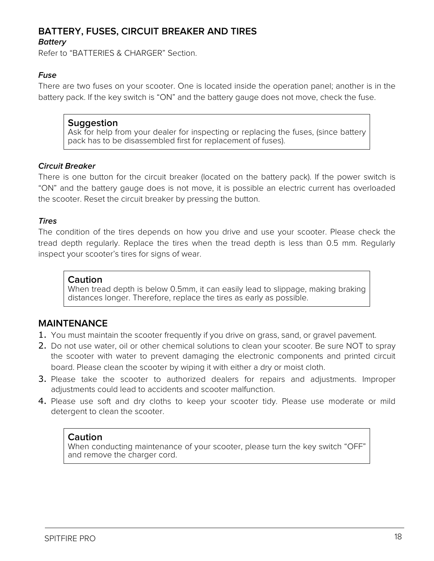# **BATTERY, FUSES, CIRCUIT BREAKER AND TIRES**

## **Battery**

Refer to "BATTERIES & CHARGER" Section.

## **Fuse**

There are two fuses on your scooter. One is located inside the operation panel; another is in the battery pack. If the key switch is "ON" and the battery gauge does not move, check the fuse.

## **Suggestion**

Ask for help from your dealer for inspecting or replacing the fuses, (since battery pack has to be disassembled first for replacement of fuses).

#### **Circuit Breaker**

There is one button for the circuit breaker (located on the battery pack). If the power switch is "ON" and the battery gauge does is not move, it is possible an electric current has overloaded the scooter. Reset the circuit breaker by pressing the button.

#### **Tires**

The condition of the tires depends on how you drive and use your scooter. Please check the tread depth regularly. Replace the tires when the tread depth is less than 0.5 mm. Regularly inspect your scooter's tires for signs of wear.

#### **Caution**

When tread depth is below 0.5mm, it can easily lead to slippage, making braking distances longer. Therefore, replace the tires as early as possible.

# **MAINTENANCE**

- 1. You must maintain the scooter frequently if you drive on grass, sand, or gravel pavement.
- 2. Do not use water, oil or other chemical solutions to clean your scooter. Be sure NOT to spray the scooter with water to prevent damaging the electronic components and printed circuit board. Please clean the scooter by wiping it with either a dry or moist cloth.
- 3. Please take the scooter to authorized dealers for repairs and adjustments. Improper adjustments could lead to accidents and scooter malfunction.
- 4. Please use soft and dry cloths to keep your scooter tidy. Please use moderate or mild detergent to clean the scooter.

## **Caution**

When conducting maintenance of your scooter, please turn the key switch "OFF" and remove the charger cord.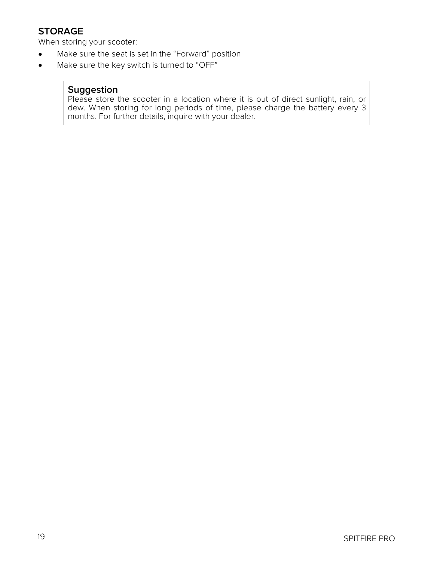# **STORAGE**

When storing your scooter:

- Make sure the seat is set in the "Forward" position  $\bullet$
- Make sure the key switch is turned to "OFF"  $\bullet$

# **Suggestion**

Please store the scooter in a location where it is out of direct sunlight, rain, or dew. When storing for long periods of time, please charge the battery every 3 months. For further details, inquire with your dealer.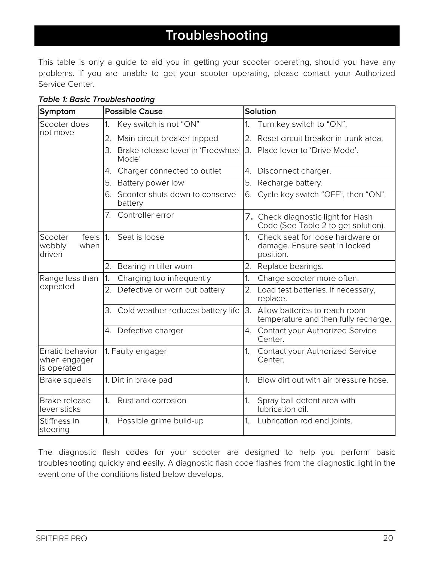# **Troubleshooting**

This table is only a guide to aid you in getting your scooter operating, should you have any problems. If you are unable to get your scooter operating, please contact your Authorized Service Center.

| Symptom                                         |            | <b>Possible Cause</b>                      | Solution         |                                                                                |  |  |  |  |  |
|-------------------------------------------------|------------|--------------------------------------------|------------------|--------------------------------------------------------------------------------|--|--|--|--|--|
| Scooter does<br>not move                        | 1.         | Key switch is not "ON"                     | 1.               | Turn key switch to "ON".                                                       |  |  |  |  |  |
|                                                 | 2.         | Main circuit breaker tripped               | 2.               | Reset circuit breaker in trunk area.                                           |  |  |  |  |  |
|                                                 | 3.         | Brake release lever in 'Freewheel<br>Mode' | $\overline{3}$ . | Place lever to 'Drive Mode'.                                                   |  |  |  |  |  |
|                                                 | 4.         | Charger connected to outlet                | 4.               | Disconnect charger.                                                            |  |  |  |  |  |
|                                                 | 5.         | Battery power low                          | 5.               | Recharge battery.                                                              |  |  |  |  |  |
|                                                 | 6.         | Scooter shuts down to conserve<br>battery  | 6.               | Cycle key switch "OFF", then "ON".                                             |  |  |  |  |  |
|                                                 | 7.         | Controller error                           |                  | 7. Check diagnostic light for Flash<br>Code (See Table 2 to get solution).     |  |  |  |  |  |
| feels<br>Scooter<br>wobbly<br>when<br>driven    | $\vert$ 1. | Seat is loose                              | $\overline{1}$ . | Check seat for loose hardware or<br>damage. Ensure seat in locked<br>position. |  |  |  |  |  |
|                                                 |            | 2. Bearing in tiller worn                  | 2.               | Replace bearings.                                                              |  |  |  |  |  |
| Range less than                                 | 1.         | Charging too infrequently                  | 1.               | Charge scooter more often.                                                     |  |  |  |  |  |
| expected                                        | 2.         | Defective or worn out battery              | 2.               | Load test batteries. If necessary,<br>replace.                                 |  |  |  |  |  |
|                                                 | 3.         | Cold weather reduces battery life          | 3.               | Allow batteries to reach room<br>temperature and then fully recharge.          |  |  |  |  |  |
|                                                 |            | 4. Defective charger                       | 4.               | Contact your Authorized Service<br>Center.                                     |  |  |  |  |  |
| Erratic behavior<br>when engager<br>is operated |            | 1. Faulty engager                          | 1.               | Contact your Authorized Service<br>Center.                                     |  |  |  |  |  |
| Brake squeals                                   |            | 1. Dirt in brake pad                       | 1.               | Blow dirt out with air pressure hose.                                          |  |  |  |  |  |
| Brake release<br>lever sticks                   | 1.         | Rust and corrosion                         | 1.               | Spray ball detent area with<br>lubrication oil.                                |  |  |  |  |  |
| Stiffness in<br>steering                        | 1.         | Possible grime build-up                    | 1 <sub>1</sub>   | Lubrication rod end joints.                                                    |  |  |  |  |  |

## **Table 1: Basic Troubleshooting**

The diagnostic flash codes for your scooter are designed to help you perform basic troubleshooting quickly and easily. A diagnostic flash code flashes from the diagnostic light in the event one of the conditions listed below develops.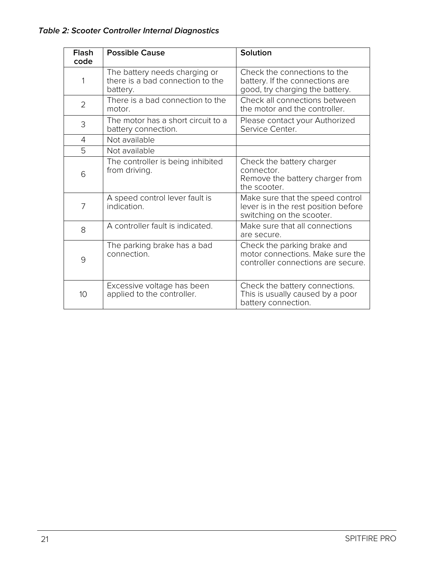| <b>Flash</b><br>code | <b>Possible Cause</b>                                                         | Solution                                                                                              |
|----------------------|-------------------------------------------------------------------------------|-------------------------------------------------------------------------------------------------------|
| 1                    | The battery needs charging or<br>there is a bad connection to the<br>battery. | Check the connections to the<br>battery. If the connections are<br>good, try charging the battery.    |
| $\overline{2}$       | There is a bad connection to the<br>motor.                                    | Check all connections between<br>the motor and the controller.                                        |
| 3                    | The motor has a short circuit to a<br>battery connection.                     | Please contact your Authorized<br>Service Center.                                                     |
| $\overline{4}$       | Not available                                                                 |                                                                                                       |
| 5                    | Not available                                                                 |                                                                                                       |
| 6                    | The controller is being inhibited<br>from driving.                            | Check the battery charger<br>connector.<br>Remove the battery charger from<br>the scooter.            |
| 7                    | A speed control lever fault is<br>indication.                                 | Make sure that the speed control<br>lever is in the rest position before<br>switching on the scooter. |
| 8                    | A controller fault is indicated.                                              | Make sure that all connections<br>are secure.                                                         |
| 9                    | The parking brake has a bad<br>connection.                                    | Check the parking brake and<br>motor connections. Make sure the<br>controller connections are secure. |
| 10                   | Excessive voltage has been<br>applied to the controller.                      | Check the battery connections.<br>This is usually caused by a poor<br>battery connection.             |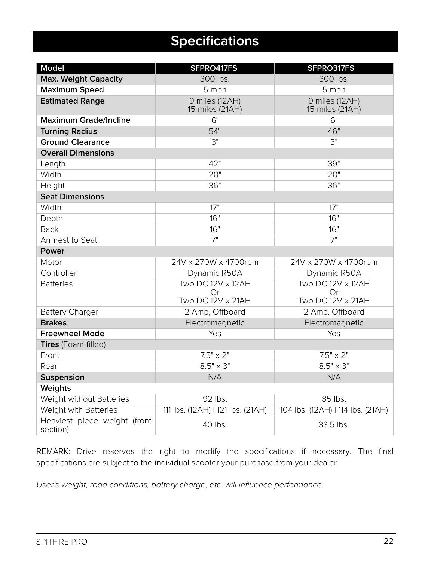# **Specifications**

| <b>Model</b>                             | SFPRO417FS                                           | SFPRO317FS                                          |  |  |  |  |  |
|------------------------------------------|------------------------------------------------------|-----------------------------------------------------|--|--|--|--|--|
| <b>Max. Weight Capacity</b>              | 300 lbs.                                             | 300 lbs.                                            |  |  |  |  |  |
| <b>Maximum Speed</b>                     | 5 mph                                                | 5 mph                                               |  |  |  |  |  |
| <b>Estimated Range</b>                   | 9 miles (12AH)<br>15 miles (21AH)                    | 9 miles (12AH)<br>15 miles (21AH)                   |  |  |  |  |  |
| <b>Maximum Grade/Incline</b>             | $6^{\circ}$                                          | $6^{\circ}$                                         |  |  |  |  |  |
| <b>Turning Radius</b>                    | 54"                                                  | 46"                                                 |  |  |  |  |  |
| <b>Ground Clearance</b>                  | 3"                                                   | 3"                                                  |  |  |  |  |  |
| <b>Overall Dimensions</b>                |                                                      |                                                     |  |  |  |  |  |
| Length                                   | 42"                                                  | 39"                                                 |  |  |  |  |  |
| Width                                    | 20"                                                  | 20"                                                 |  |  |  |  |  |
| Height                                   | 36"                                                  | 36"                                                 |  |  |  |  |  |
| <b>Seat Dimensions</b>                   |                                                      |                                                     |  |  |  |  |  |
| Width                                    | 17"                                                  | 17"                                                 |  |  |  |  |  |
| Depth                                    | 16"                                                  | 16"                                                 |  |  |  |  |  |
| <b>Back</b>                              | 16"                                                  | 16"                                                 |  |  |  |  |  |
| Armrest to Seat                          | 7"                                                   | 7"                                                  |  |  |  |  |  |
| Power                                    |                                                      |                                                     |  |  |  |  |  |
| Motor                                    | 24V x 270W x 4700rpm                                 | 24V x 270W x 4700rpm                                |  |  |  |  |  |
| Controller                               | Dynamic R50A                                         | Dynamic R50A                                        |  |  |  |  |  |
| <b>Batteries</b>                         | Two DC 12V x 12AH<br>Or.<br><b>Two DC 12V x 21AH</b> | Two DC 12V x 12AH<br>Or<br><b>Two DC 12V x 21AH</b> |  |  |  |  |  |
| <b>Battery Charger</b>                   | 2 Amp, Offboard                                      | 2 Amp, Offboard                                     |  |  |  |  |  |
| <b>Brakes</b>                            | Electromagnetic                                      | Electromagnetic                                     |  |  |  |  |  |
| <b>Freewheel Mode</b>                    | Yes                                                  | Yes                                                 |  |  |  |  |  |
| Tires (Foam-filled)                      |                                                      |                                                     |  |  |  |  |  |
| Front                                    | $7.5" \times 2"$                                     | $7.5" \times 2"$                                    |  |  |  |  |  |
| Rear                                     | $8.5" \times 3"$                                     | $8.5" \times 3"$                                    |  |  |  |  |  |
| <b>Suspension</b>                        | N/A                                                  | N/A                                                 |  |  |  |  |  |
| Weights                                  |                                                      |                                                     |  |  |  |  |  |
| Weight without Batteries                 | 92 lbs.                                              | 85 lbs.                                             |  |  |  |  |  |
| Weight with Batteries                    | 111 lbs. (12AH)   121 lbs. (21AH)                    | 104 lbs. (12AH)   114 lbs. (21AH)                   |  |  |  |  |  |
| Heaviest piece weight (front<br>section) | 40 lbs.                                              | 33.5 lbs.                                           |  |  |  |  |  |

REMARK: Drive reserves the right to modify the specifications if necessary. The final specifications are subject to the individual scooter your purchase from your dealer.

User's weight, road conditions, battery charge, etc. will influence performance.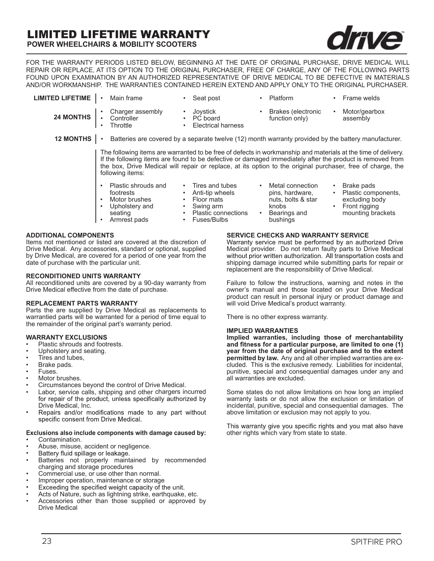# LIMITED LIFETIME WARRANTY

**POWER WHEELCHAIRS & MOBILITY SCOOTERS**

FOR THE WARRANTY PERIODS LISTED BELOW, BEGINNING AT THE DATE OF ORIGINAL PURCHASE, DRIVE MEDICAL WILL REPAIR OR REPLACE, AT ITS OPTION TO THE ORIGINAL PURCHASER, FREE OF CHARGE, ANY OF THE FOLLOWING PARTS FOUND UPON EXAMINATION BY AN AUTHORIZED REPRESENTATIVE OF DRIVE MEDICAL TO BE DEFECTIVE IN MATERIALS AND/OR WORKMANSHIP. THE WARRANTIES CONTAINED HEREIN EXTEND AND APPLY ONLY TO THE ORIGINAL PURCHASER.

| <b>LIMITED LIFETIME</b> | Main frame                                                                                                                                                                                                                                                                                                                                                    | Seat post<br>$\bullet$                                                                                                                                  | Platform                                                                                       | Frame welds<br>$\bullet$                                                                               |  |  |  |  |  |  |  |  |
|-------------------------|---------------------------------------------------------------------------------------------------------------------------------------------------------------------------------------------------------------------------------------------------------------------------------------------------------------------------------------------------------------|---------------------------------------------------------------------------------------------------------------------------------------------------------|------------------------------------------------------------------------------------------------|--------------------------------------------------------------------------------------------------------|--|--|--|--|--|--|--|--|
| 24 MONTHS               | • Charger assembly<br>• Controller<br>Throttle                                                                                                                                                                                                                                                                                                                | Joystick<br>PC board<br><b>Electrical harness</b><br>٠                                                                                                  | Brakes (electronic<br>function only)                                                           | Motor/gearbox<br>$\bullet$<br>assembly                                                                 |  |  |  |  |  |  |  |  |
| <b>12 MONTHS</b>        | $\bullet$                                                                                                                                                                                                                                                                                                                                                     | Batteries are covered by a separate twelve (12) month warranty provided by the battery manufacturer.                                                    |                                                                                                |                                                                                                        |  |  |  |  |  |  |  |  |
|                         | The following items are warranted to be free of defects in workmanship and materials at the time of delivery.<br>If the following items are found to be defective or damaged immediately after the product is removed from<br>the box, Drive Medical will repair or replace, at its option to the original purchaser, free of charge, the<br>following items: |                                                                                                                                                         |                                                                                                |                                                                                                        |  |  |  |  |  |  |  |  |
|                         | Plastic shrouds and<br>footrests<br>Motor brushes<br>Upholstery and<br>seating<br>Armrest pads                                                                                                                                                                                                                                                                | Tires and tubes<br>Anti-tip wheels<br>Floor mats<br>$\bullet$<br>Swing arm<br>$\bullet$<br>Plastic connections<br>$\bullet$<br>Fuses/Bulbs<br>$\bullet$ | Metal connection<br>pins, hardware,<br>nuts, bolts & star<br>knobs<br>Bearings and<br>bushings | Brake pads<br>Plastic components,<br>excluding body<br>Front rigging<br>$\bullet$<br>mounting brackets |  |  |  |  |  |  |  |  |

#### **ADDITIONAL COMPONENTS**

Items not mentioned or listed are covered at the discretion of Drive Medical. Any accessories, standard or optional, supplied by Drive Medical, are covered for a period of one year from the date of purchase with the particular unit.

#### **RECONDITIONED UNITS WARRANTY**

All reconditioned units are covered by a 90-day warranty from Drive Medical effective from the date of purchase.

#### **REPLACEMENT PARTS WARRANTY**

Parts the are supplied by Drive Medical as replacements to warrantied parts will be warranted for a period of time equal to the remainder of the original part's warranty period.

#### **WARRANTY EXCLUSIONS**

- Plastic shrouds and footrests.
- Upholstery and seating.
- Tires and tubes,
- Brake pads.
- Fuses.
- Motor brushes.
- Circumstances beyond the control of Drive Medical.
- Labor, service calls, shipping and other chargers incurred for repair of the product, unless specifically authorized by Drive Medical, Inc.<br>Repairs and/or modifications made to any part without
- specific consent from Drive Medical.

#### **Exclusions also include components with damage caused by:**

- Contamination.
- Abuse, misuse, accident or negligence.<br>Battery fluid spillage or leakage.
- •
- Batteries not properly maintained by recommended charging and storage procedures
- Commercial use, or use other than normal.
- 
- Improper operation, maintenance or storage<br>Exceeding the specified weight capacity of the unit. •
- Acts of Nature, such as lightning strike, earthquake, etc.
- Accessories other than those supplied or approved by Drive Medical

**SERVICE CHECKS AND WARRANTY SERVICE**<br>Warranty service must be performed by an authorized Drive Medical provider. Do not return faulty parts to Drive Medical without prior written authorization. All transportation costs and shipping damage incurred while submitting parts for repair or replacement are the responsibility of Drive Medical.

Failure to follow the instructions, warning and notes in the owner's manual and those located on your Drive Medical product can result in personal injury or product damage and will void Drive Medical's product warranty.

There is no other express warranty.

#### **IMPLIED WARRANTIES**

**Implied warranties, including those of merchantability year from the date of original purchase and to the extent permitted by law.** Any and all other implied warranties are excluded. This is the exclusive remedy. Liabilities for incidental, punitive, special and consequential damages under any and all warranties are excluded.

Some states do not allow limitations on how long an implied warranty lasts or do not allow the exclusion or limitation of incidental, punitive, special and consequential damages. The above limitation or exclusion may not apply to you.

This warranty give you specific rights and you mat also have other rights which vary from state to state.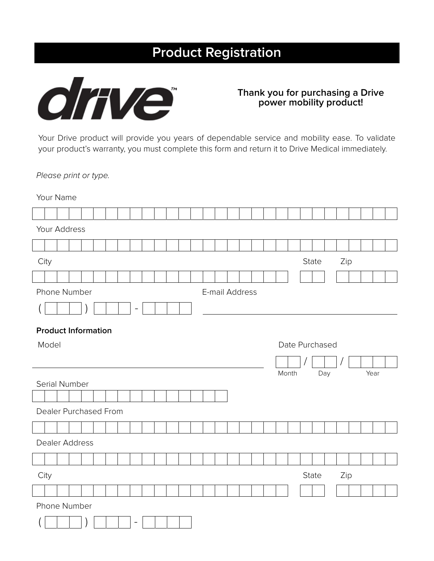# **Product Registration**



# **Thank you for purchasing a Drive power mobility product!**

Your Drive product will provide you years of dependable service and mobility ease. To validate your product's warranty, you must complete this form and return it to Drive Medical immediately.

Please print or type.

Your Name

| Your Address               |  |  |  |  |  |  |  |  |  |  |  |                |  |  |  |  |  |  |       |       |                |  |     |  |      |  |  |
|----------------------------|--|--|--|--|--|--|--|--|--|--|--|----------------|--|--|--|--|--|--|-------|-------|----------------|--|-----|--|------|--|--|
|                            |  |  |  |  |  |  |  |  |  |  |  |                |  |  |  |  |  |  |       |       |                |  |     |  |      |  |  |
| City                       |  |  |  |  |  |  |  |  |  |  |  |                |  |  |  |  |  |  |       |       | State          |  | Zip |  |      |  |  |
|                            |  |  |  |  |  |  |  |  |  |  |  |                |  |  |  |  |  |  |       |       |                |  |     |  |      |  |  |
| Phone Number               |  |  |  |  |  |  |  |  |  |  |  | E-mail Address |  |  |  |  |  |  |       |       |                |  |     |  |      |  |  |
|                            |  |  |  |  |  |  |  |  |  |  |  |                |  |  |  |  |  |  |       |       |                |  |     |  |      |  |  |
| <b>Product Information</b> |  |  |  |  |  |  |  |  |  |  |  |                |  |  |  |  |  |  |       |       |                |  |     |  |      |  |  |
| Model                      |  |  |  |  |  |  |  |  |  |  |  |                |  |  |  |  |  |  |       |       | Date Purchased |  |     |  |      |  |  |
|                            |  |  |  |  |  |  |  |  |  |  |  |                |  |  |  |  |  |  |       |       |                |  |     |  |      |  |  |
|                            |  |  |  |  |  |  |  |  |  |  |  |                |  |  |  |  |  |  |       | Month |                |  | Day |  | Year |  |  |
| Serial Number              |  |  |  |  |  |  |  |  |  |  |  |                |  |  |  |  |  |  |       |       |                |  |     |  |      |  |  |
|                            |  |  |  |  |  |  |  |  |  |  |  |                |  |  |  |  |  |  |       |       |                |  |     |  |      |  |  |
| Dealer Purchased From      |  |  |  |  |  |  |  |  |  |  |  |                |  |  |  |  |  |  |       |       |                |  |     |  |      |  |  |
|                            |  |  |  |  |  |  |  |  |  |  |  |                |  |  |  |  |  |  |       |       |                |  |     |  |      |  |  |
|                            |  |  |  |  |  |  |  |  |  |  |  |                |  |  |  |  |  |  |       |       |                |  |     |  |      |  |  |
| Dealer Address             |  |  |  |  |  |  |  |  |  |  |  |                |  |  |  |  |  |  |       |       |                |  |     |  |      |  |  |
|                            |  |  |  |  |  |  |  |  |  |  |  |                |  |  |  |  |  |  |       |       |                |  |     |  |      |  |  |
| City                       |  |  |  |  |  |  |  |  |  |  |  |                |  |  |  |  |  |  | State |       | Zip            |  |     |  |      |  |  |
|                            |  |  |  |  |  |  |  |  |  |  |  |                |  |  |  |  |  |  |       |       |                |  |     |  |      |  |  |
| Phone Number               |  |  |  |  |  |  |  |  |  |  |  |                |  |  |  |  |  |  |       |       |                |  |     |  |      |  |  |
| $\overline{\phantom{a}}$   |  |  |  |  |  |  |  |  |  |  |  |                |  |  |  |  |  |  |       |       |                |  |     |  |      |  |  |